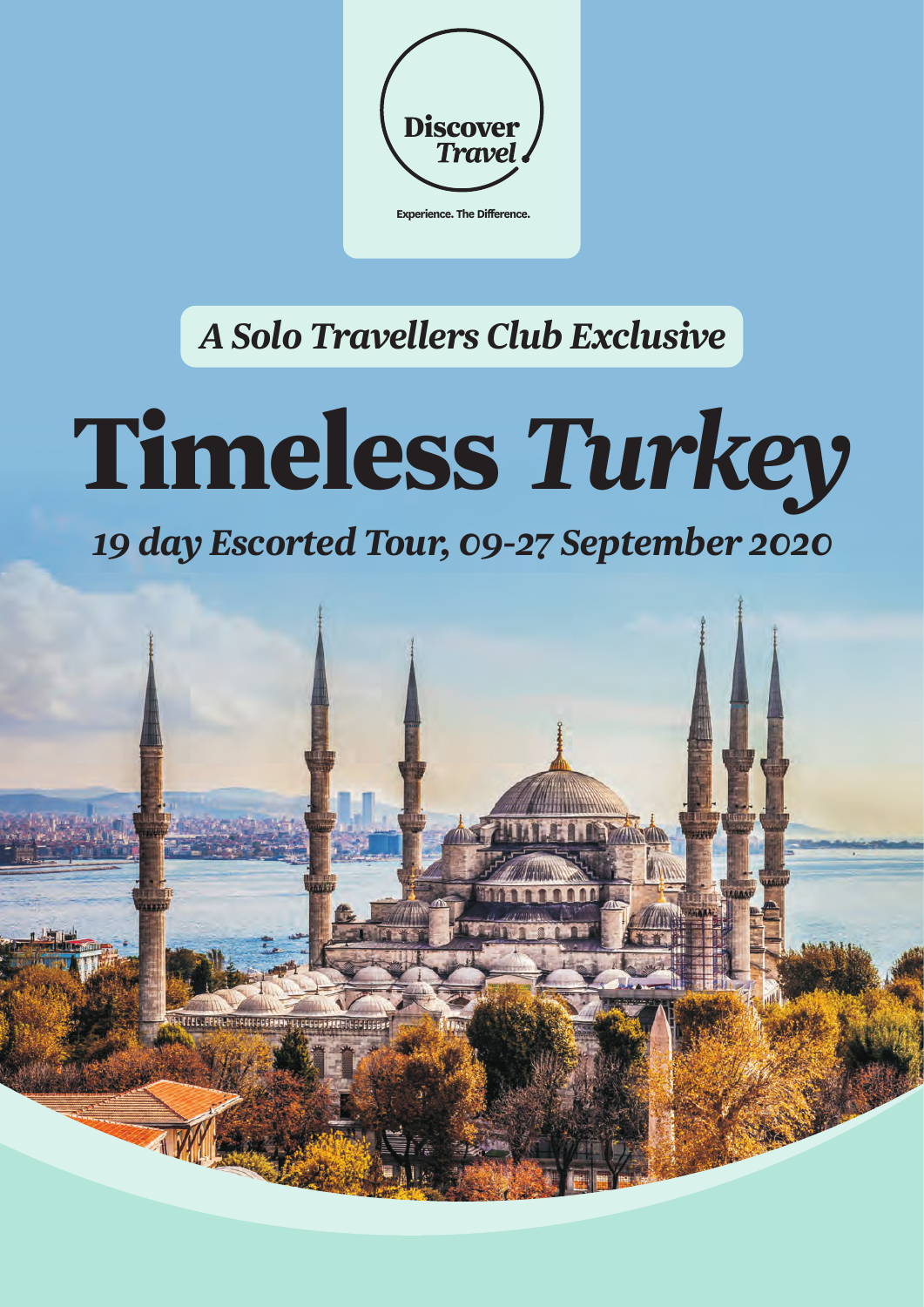

# *A Solo Travellers Club Exclusive*

# **Timeless** *Turkey*

# *19 day Escorted Tour, 09-27 September 2020*

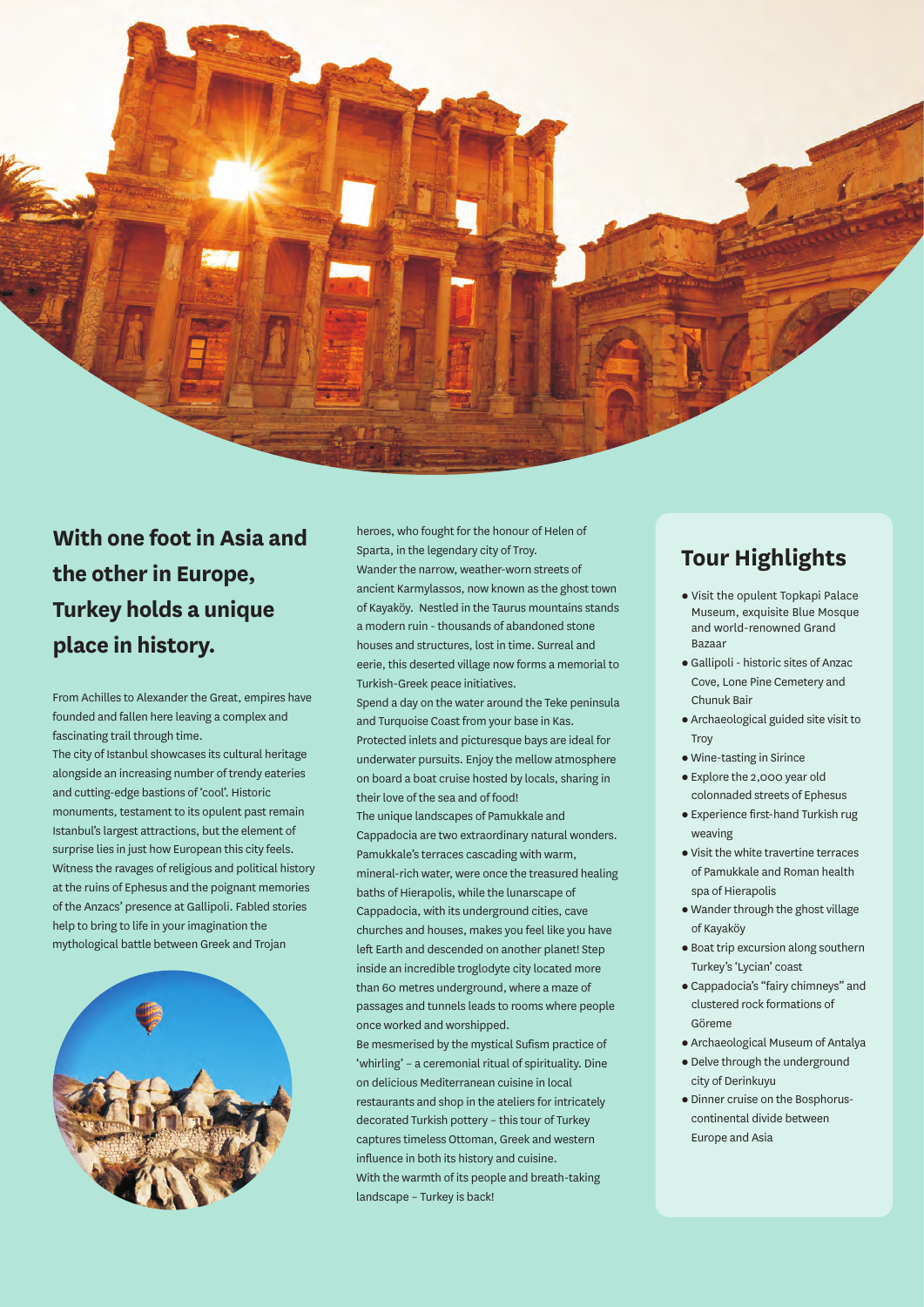

# **the other in Europe,** Wander the narrow, weather-worn streets of **place in history.** houses and structures, lost in time. Surreal and

From Achilles to Alexander the Great, empires have Spend a day on the water around the Teke peninsula<br>founded and fallen here leaving a complex and founded and fallen here leaving a complex and<br>fascinating trail through time. The same in the same interval inlate and picturesque bays are in

The city of Istanbul showcases its cultural heritage underwater pursuits. Enjoy the mellow atmosphere<br>alongside an increasing number of trendy eateries on hoard a boat cruise bosted by locals, sharing in and cutting-edge bastions of 'cool'. Historic their love of the sea and of food! monuments, testament to its opulent past remain<br>Istanbul's largest attractions, but the element of Canadocia are two extractionary patural Istanbul's largest attractions, but the element of cappadocia are two extraordinary natural wonders.<br>Surprise lies in just how European this city feels. surprise lies in just how European this city feels.<br>Witness the ravages of religious and political history entineral rich water, were once the treasured at the ruins of Ephesus and the poignant memories baths of Hierapolis, while the lunarscape of the Anzacs' presence at Gallipoli. Fabled stories of the Anzacs' presence at Gallipoli. Fabled stories cappadocia, with its underground cities, cave<br>help to bring to life in your imagination the chief churches and bouses makes you feel like you. help to bring to life in your imagination the churches and houses, makes you feel like you have<br>mythological battle between Greek and Trojan



With one foot in Asia and **heroes, who fought for the honour of Helen of** Sparta, in the legendary city of Troy. ancient Karmylassos, now known as the ghost town of Kayaköy. Nestled in the Taurus mountains stands **Turkey holds a unique**  a modern ruin - thousands of abandoned stone eerie, this deserted village now forms a memorial to Turkish-Greek peace initiatives.

fascinating trail through time.<br>Protected inlets and picturesque bays are ideal for and protected in property than the product the mellow atmosphere on board a boat cruise hosted by locals, sharing in Witness the ravages of religious and political history mineral-rich water, were once the treasured healing<br>at the ruins of Ephesus and the poignant memories left Earth and descended on another planet! Step inside an incredible troglodyte city located more than 60 metres underground, where a maze of passages and tunnels leads to rooms where people once worked and worshipped.

> Be mesmerised by the mystical Sufism practice of 'whirling' – a ceremonial ritual of spirituality. Dine on delicious Mediterranean cuisine in local restaurants and shop in the ateliers for intricately decorated Turkish pottery – this tour of Turkey captures timeless Ottoman, Greek and western influence in both its history and cuisine. With the warmth of its people and breath-taking landscape – Turkey is back!

# **Tour Highlights**

- Visit the opulent Topkapi Palace Museum, exquisite Blue Mosque and world-renowned Grand
- lBazaar Gallipoli historic sites of Anzac Cove, Lone Pine Cemetery and
- lChunuk Bair Archaeological guided site visit to Troy<br>● Wine-tasting in Sirince
- 
- l Wine-tasting in Sirince Explore the 2,000 year old
- lcolonnaded streets of Ephesus Experience first-hand Turkish rug
- lweaving Visit the white travertine terraces of Pamukkale and Roman health
- spa of Hierapolis<br>• Wander through the ghost village
- lof Kayaköy Boat trip excursion along southern
- Turkey's 'Lycian' coast<br>● Cappadocia's "fairy chimneys" and clustered rock formations of
- Göreme<br>• Archaeological Museum of Antalya l Archaeological Museum of Antalya Delve through the underground
- 
- city of Derinkuyu<br>• Dinner cruise on the Bosphoruscontinental divide between Europe and Asia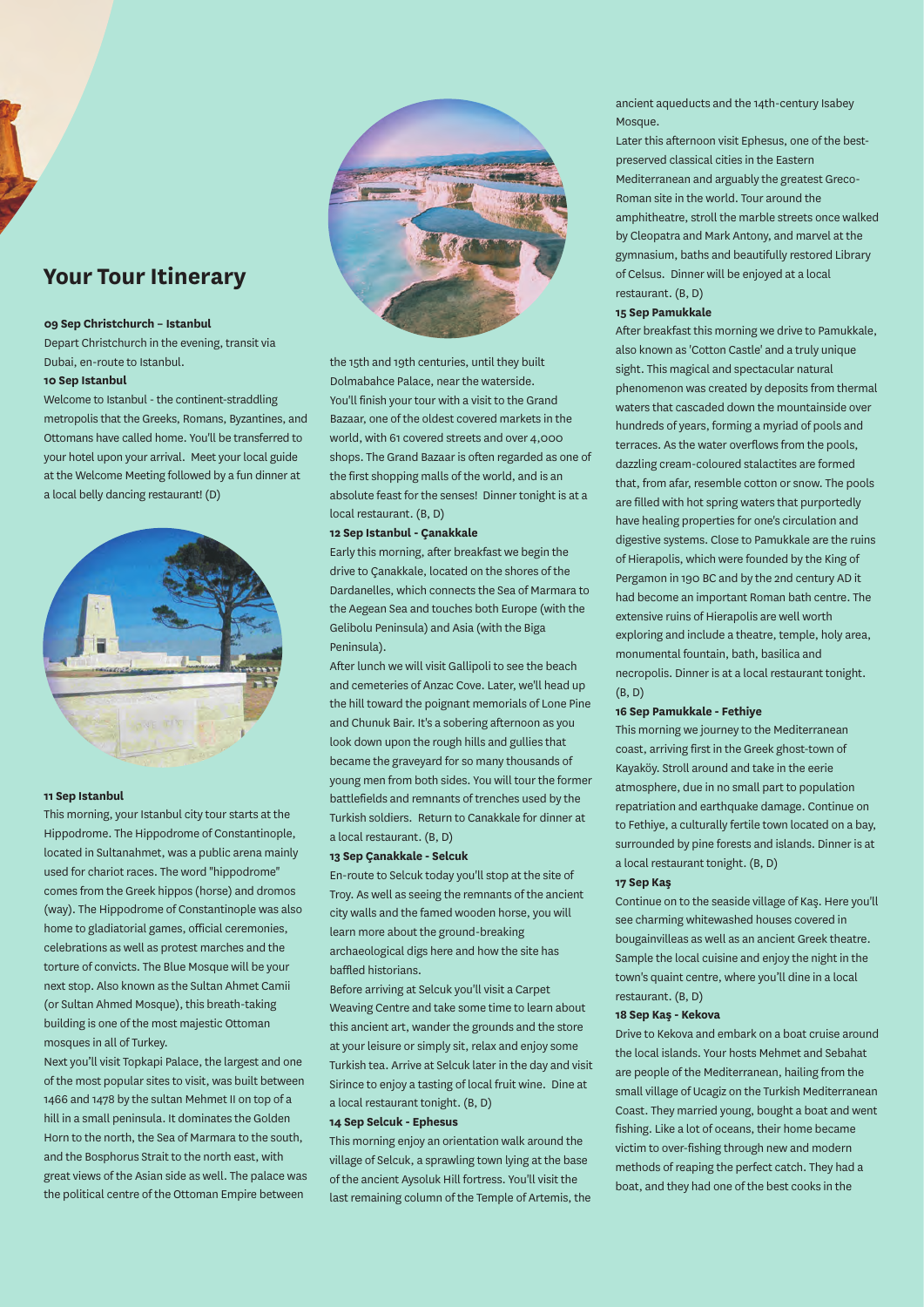## **Your Tour Itinerary**

#### **09 Sep Christchurch – Istanbul**

Depart Christchurch in the evening, transit via Dubai, en-route to Istanbul.

#### **10 Sep Istanbul**

Welcome to Istanbul - the continent-straddling metropolis that the Greeks, Romans, Byzantines, and Ottomans have called home. You'll be transferred to your hotel upon your arrival. Meet your local guide at the Welcome Meeting followed by a fun dinner at a local belly dancing restaurant! (D)



#### **11 Sep Istanbul**

This morning, your Istanbul city tour starts at the Hippodrome. The Hippodrome of Constantinople, located in Sultanahmet, was a public arena mainly used for chariot races. The word "hippodrome" comes from the Greek hippos (horse) and dromos (way). The Hippodrome of Constantinople was also home to gladiatorial games, official ceremonies, celebrations as well as protest marches and the torture of convicts. The Blue Mosque will be your next stop. Also known as the Sultan Ahmet Camii (or Sultan Ahmed Mosque), this breath-taking building is one of the most majestic Ottoman mosques in all of Turkey.

Next you'll visit Topkapi Palace, the largest and one of the most popular sites to visit, was built between 1466 and 1478 by the sultan Mehmet II on top of a hill in a small peninsula. It dominates the Golden Horn to the north, the Sea of Marmara to the south, and the Bosphorus Strait to the north east, with great views of the Asian side as well. The palace was the political centre of the Ottoman Empire between



the 15th and 19th centuries, until they built Dolmabahce Palace, near the waterside. You'll finish your tour with a visit to the Grand Bazaar, one of the oldest covered markets in the world, with 61 covered streets and over 4,000 shops. The Grand Bazaar is often regarded as one of the first shopping malls of the world, and is an absolute feast for the senses! Dinner tonight is at a local restaurant. (B, D)

#### **12 Sep Istanbul - Çanakkale**

Early this morning, after breakfast we begin the drive to Çanakkale, located on the shores of the Dardanelles, which connects the Sea of Marmara to the Aegean Sea and touches both Europe (with the Gelibolu Peninsula) and Asia (with the Biga Peninsula).

After lunch we will visit Gallipoli to see the beach and cemeteries of Anzac Cove. Later, we'll head up the hill toward the poignant memorials of Lone Pine and Chunuk Bair. It's a sobering afternoon as you look down upon the rough hills and gullies that became the graveyard for so many thousands of young men from both sides. You will tour the former battlefields and remnants of trenches used by the Turkish soldiers. Return to Canakkale for dinner at a local restaurant. (B, D)

#### **13 Sep Çanakkale - Selcuk**

En-route to Selcuk today you'll stop at the site of Troy. As well as seeing the remnants of the ancient city walls and the famed wooden horse, you will learn more about the ground-breaking archaeological digs here and how the site has baffled historians.

Before arriving at Selcuk you'll visit a Carpet Weaving Centre and take some time to learn about this ancient art, wander the grounds and the store at your leisure or simply sit, relax and enjoy some Turkish tea. Arrive at Selcuk later in the day and visit Sirince to enjoy a tasting of local fruit wine. Dine at a local restaurant tonight. (B, D)

#### **14 Sep Selcuk - Ephesus**

This morning enjoy an orientation walk around the village of Selcuk, a sprawling town lying at the base of the ancient Aysoluk Hill fortress. You'll visit the last remaining column of the Temple of Artemis, the ancient aqueducts and the 14th-century Isabey Mosque.

Later this afternoon visit Ephesus, one of the bestpreserved classical cities in the Eastern Mediterranean and arguably the greatest Greco-Roman site in the world. Tour around the amphitheatre, stroll the marble streets once walked by Cleopatra and Mark Antony, and marvel at the gymnasium, baths and beautifully restored Library of Celsus. Dinner will be enjoyed at a local restaurant. (B, D)

#### **15 Sep Pamukkale**

After breakfast this morning we drive to Pamukkale, also known as 'Cotton Castle' and a truly unique sight. This magical and spectacular natural phenomenon was created by deposits from thermal waters that cascaded down the mountainside over hundreds of years, forming a myriad of pools and terraces. As the water overflows from the pools, dazzling cream-coloured stalactites are formed that, from afar, resemble cotton or snow. The pools are filled with hot spring waters that purportedly have healing properties for one's circulation and digestive systems. Close to Pamukkale are the ruins of Hierapolis, which were founded by the King of Pergamon in 190 BC and by the 2nd century AD it had become an important Roman bath centre. The extensive ruins of Hierapolis are well worth exploring and include a theatre, temple, holy area, monumental fountain, bath, basilica and necropolis. Dinner is at a local restaurant tonight. (B, D)

#### **16 Sep Pamukkale - Fethiye**

This morning we journey to the Mediterranean coast, arriving first in the Greek ghost-town of Kayaköy. Stroll around and take in the eerie atmosphere, due in no small part to population repatriation and earthquake damage. Continue on to Fethiye, a culturally fertile town located on a bay, surrounded by pine forests and islands. Dinner is at a local restaurant tonight. (B, D)

#### **17 Sep Kaş**

Continue on to the seaside village of Kaş. Here you'll see charming whitewashed houses covered in bougainvilleas as well as an ancient Greek theatre. Sample the local cuisine and enjoy the night in the town's quaint centre, where you'll dine in a local restaurant. (B, D)

#### **18 Sep Kaş - Kekova**

Drive to Kekova and embark on a boat cruise around the local islands. Your hosts Mehmet and Sebahat are people of the Mediterranean, hailing from the small village of Ucagiz on the Turkish Mediterranean Coast. They married young, bought a boat and went fishing. Like a lot of oceans, their home became victim to over-fishing through new and modern methods of reaping the perfect catch. They had a boat, and they had one of the best cooks in the